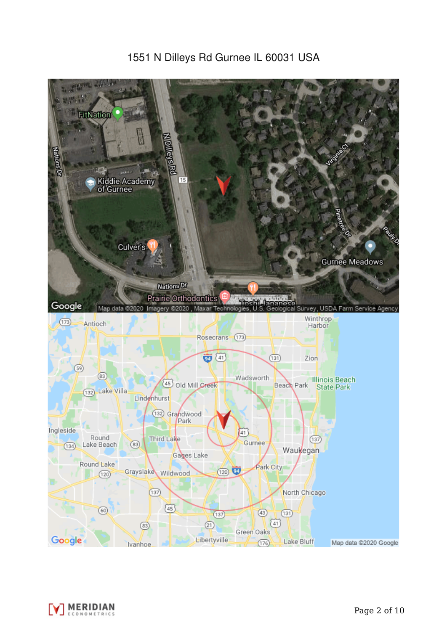# 1551 N Dilleys Rd Gurnee IL 60031 USA



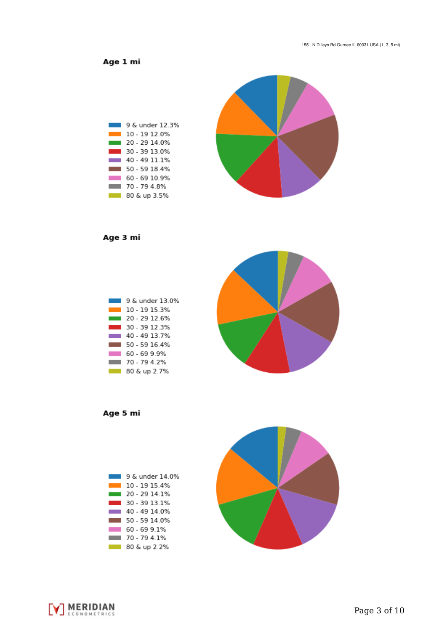Age 1 mi



Age 3 mi



Age 5 mi





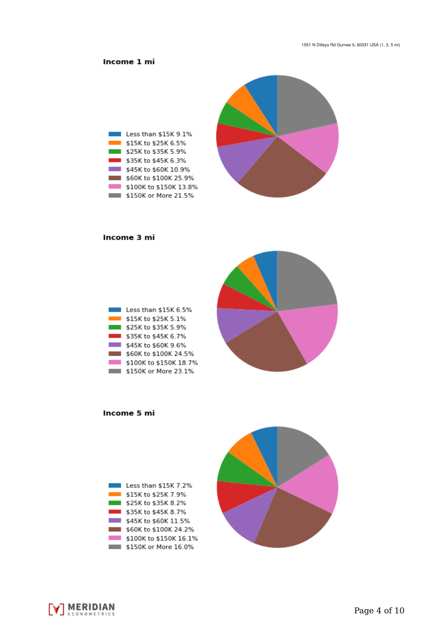## Income 1 mi



#### Income 3 mi

| Less than \$15K 6.5%   |
|------------------------|
| \$15K to \$25K 5.1%    |
| \$25K to \$35K 5.9%    |
| \$35K to \$45K 6.7%    |
| \$45K to \$60K 9.6%    |
| \$60K to \$100K 24.5%  |
| \$100K to \$150K 18.7% |
| \$150K or More 23.1%   |



Income 5 mi





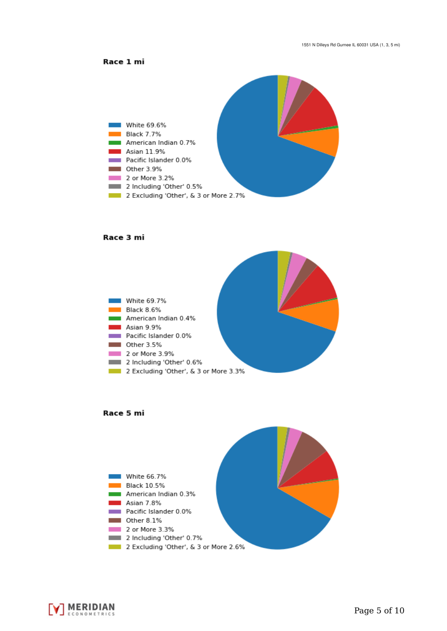



#### Race 3 mi







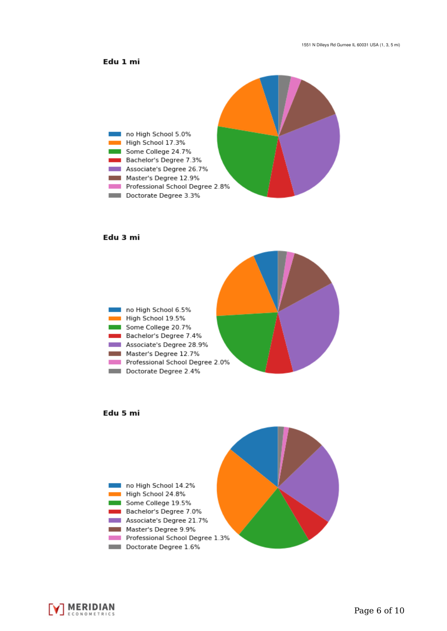### Edu 1 mi



#### Edu 3 mi







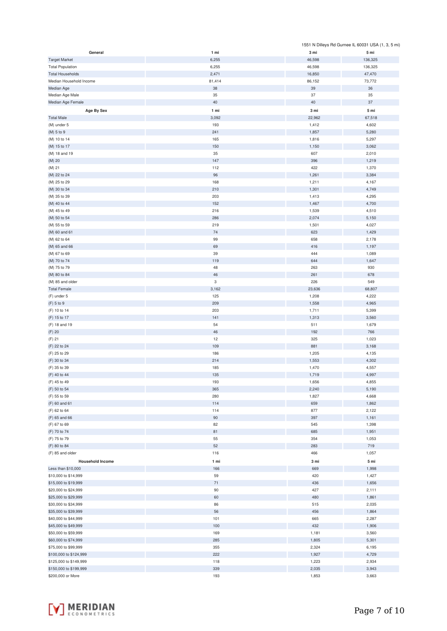|                         |        |        | 1551 N Dilleys Rd Gurnee IL 60031 USA (1, 3, 5 mi) |
|-------------------------|--------|--------|----------------------------------------------------|
| General                 | 1 mi   | 3 mi   | 5 mi                                               |
| <b>Target Market</b>    | 6,255  | 46,598 | 136,325                                            |
| <b>Total Population</b> | 6,255  | 46,598 | 136,325                                            |
| <b>Total Households</b> | 2,471  | 16,850 | 47,470                                             |
|                         |        |        |                                                    |
| Median Household Income | 81,414 | 86,152 | 73,772                                             |
| Median Age              | 38     | 39     | 36                                                 |
| Median Age Male         | 35     | 37     | 35                                                 |
| Median Age Female       | 40     | 40     | 37                                                 |
| Age By Sex              | 1 mi   | 3 mi   | 5 mi                                               |
| <b>Total Male</b>       | 3,092  | 22,962 | 67,518                                             |
|                         |        |        |                                                    |
| (M) under 5             | 193    | 1,412  | 4,602                                              |
| (M) 5 to 9              | 241    | 1,857  | 5,280                                              |
| (M) 10 to 14            | 165    | 1,816  | 5,297                                              |
| (M) 15 to 17            | 150    | 1,150  | 3,062                                              |
| (M) 18 and 19           | 35     | 607    | 2,010                                              |
| (M) 20                  | 147    | 396    | 1,219                                              |
| (M) 21                  | 112    | 422    | 1,370                                              |
|                         |        |        |                                                    |
| (M) 22 to 24            | 96     | 1,261  | 3,384                                              |
| (M) 25 to 29            | 168    | 1,211  | 4,167                                              |
| (M) 30 to 34            | 210    | 1,301  | 4,749                                              |
| (M) 35 to 39            | 203    | 1,413  | 4,295                                              |
| (M) 40 to 44            | 152    | 1,467  | 4,700                                              |
| (M) 45 to 49            | 216    | 1,539  | 4,510                                              |
| (M) 50 to 54            | 286    | 2,074  | 5,150                                              |
|                         |        |        |                                                    |
| (M) 55 to 59            | 219    | 1,501  | 4,027                                              |
| (M) 60 and 61           | 74     | 623    | 1,429                                              |
| (M) 62 to 64            | 99     | 658    | 2,178                                              |
| (M) 65 and 66           | 69     | 416    | 1,197                                              |
| (M) 67 to 69            | 39     | 444    | 1,089                                              |
| (M) 70 to 74            | 119    | 644    | 1,647                                              |
|                         |        |        |                                                    |
| (M) 75 to 79            | 48     | 263    | 930                                                |
| (M) 80 to 84            | 46     | 261    | 678                                                |
| (M) 85 and older        | 3      | 226    | 549                                                |
| <b>Total Female</b>     | 3,162  | 23,636 | 68,807                                             |
| (F) under 5             | 125    | 1,208  | 4,222                                              |
| (F) 5 to 9              | 209    | 1,558  | 4,965                                              |
| (F) 10 to 14            | 203    | 1,711  | 5,399                                              |
|                         |        |        |                                                    |
| (F) 15 to 17            | 141    | 1,313  | 3,560                                              |
| (F) 18 and 19           | 54     | 511    | 1,679                                              |
| (F) 20                  | 46     | 192    | 766                                                |
| (F) 21                  | 12     | 325    | 1,023                                              |
| (F) 22 to 24            | 109    | 881    | 3,168                                              |
| (F) 25 to 29            | 186    | 1,205  | 4,135                                              |
| (F) 30 to 34            | 214    | 1,553  | 4,302                                              |
|                         |        |        |                                                    |
| (F) 35 to 39            | 185    | 1,470  | 4,557                                              |
| (F) 40 to 44            | 135    | 1,719  | 4,997                                              |
| (F) 45 to 49            | 193    | 1,656  | 4,855                                              |
| (F) 50 to 54            | 365    | 2,240  | 5,190                                              |
| (F) 55 to 59            | 280    | 1,827  | 4,668                                              |
| (F) 60 and 61           | 114    | 659    | 1,862                                              |
| (F) 62 to 64            | 114    | 877    | 2,122                                              |
|                         |        |        |                                                    |
| (F) 65 and 66           | 90     | 397    | 1,161                                              |
| (F) 67 to 69            | 82     | 545    | 1,398                                              |
| (F) 70 to 74            | 81     | 685    | 1,951                                              |
| (F) 75 to 79            | 55     | 354    | 1,053                                              |
| (F) 80 to 84            | 52     | 283    | 719                                                |
| (F) 85 and older        | 116    | 466    | 1,057                                              |
|                         |        |        |                                                    |
| <b>Household Income</b> | 1 mi   | 3 mi   | 5 mi                                               |
| Less than \$10,000      | 166    | 669    | 1,998                                              |
| \$10,000 to \$14,999    | 59     | 420    | 1,427                                              |
| \$15,000 to \$19,999    | 71     | 436    | 1,656                                              |
| \$20,000 to \$24,999    | 90     | 427    | 2,111                                              |
| \$25,000 to \$29,999    | 60     | 480    | 1,861                                              |
| \$30,000 to \$34,999    | 86     | 515    | 2,035                                              |
|                         |        |        |                                                    |
| \$35,000 to \$39,999    | 56     | 456    | 1,864                                              |
| \$40,000 to \$44,999    | 101    | 665    | 2,287                                              |
| \$45,000 to \$49,999    | 100    | 432    | 1,906                                              |
| \$50,000 to \$59,999    | 169    | 1,181  | 3,560                                              |
| \$60,000 to \$74,999    | 285    | 1,805  | 5,301                                              |
| \$75,000 to \$99,999    | 355    | 2,324  | 6,195                                              |
| \$100,000 to \$124,999  | 222    |        | 4,729                                              |
|                         |        | 1,927  |                                                    |
| \$125,000 to \$149,999  | 118    | 1,223  | 2,934                                              |
| \$150,000 to \$199,999  | 339    | 2,035  | 3,943                                              |
| \$200,000 or More       | 193    | 1,853  | 3,663                                              |

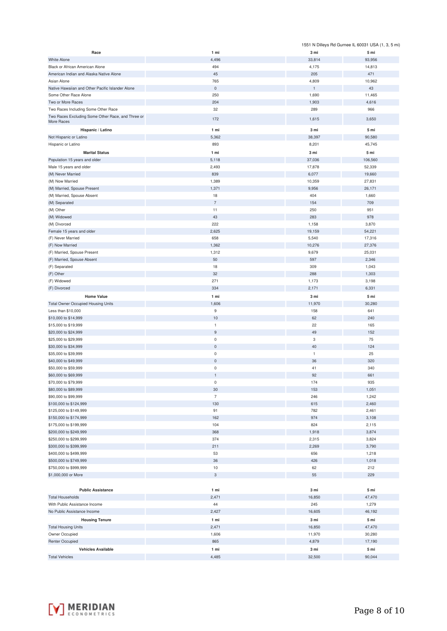|                                                                 |                            |                      | 1551 N Dilleys Rd Gurnee IL 60031 USA (1, 3, 5 mi) |
|-----------------------------------------------------------------|----------------------------|----------------------|----------------------------------------------------|
| Race                                                            | 1 mi                       | 3 mi                 | 5 mi                                               |
| <b>White Alone</b>                                              | 4,496                      | 33,814               | 93,956                                             |
| Black or African American Alone                                 | 494                        | 4,175                | 14,813                                             |
| American Indian and Alaska Native Alone                         | 45                         | 205                  | 471                                                |
| Asian Alone                                                     | 765                        | 4,809                | 10,962                                             |
| Native Hawaiian and Other Pacific Islander Alone                | $\mathsf{O}\xspace$<br>250 | $\mathbf 1$<br>1,690 | 43                                                 |
| Some Other Race Alone<br>Two or More Races                      | 204                        | 1,903                | 11,465<br>4,616                                    |
| Two Races Including Some Other Race                             | 32                         | 289                  | 966                                                |
| Two Races Excluding Some Other Race, and Three or               |                            |                      |                                                    |
| More Races                                                      | 172                        | 1,615                | 3,650                                              |
| Hispanic / Latino                                               | 1 mi                       | 3 mi                 | 5 mi                                               |
| Not Hispanic or Latino                                          | 5,362                      | 38,397               | 90,580                                             |
| Hispanic or Latino                                              | 893                        | 8,201                | 45,745                                             |
| <b>Marital Status</b>                                           | 1 mi                       | 3 mi                 | 5 mi                                               |
| Population 15 years and older                                   | 5,118                      | 37,036               | 106,560                                            |
| Male 15 years and older                                         | 2,493                      | 17,878               | 52,339                                             |
| (M) Never Married                                               | 839                        | 6,077                | 19,660                                             |
| (M) Now Married<br>(M) Married, Spouse Present                  | 1,389<br>1,371             | 10,359<br>9,956      | 27,831                                             |
| (M) Married, Spouse Absent                                      | 18                         | 404                  | 26,171<br>1,660                                    |
| (M) Separated                                                   | $\overline{7}$             | 154                  | 709                                                |
| (M) Other                                                       | 11                         | 250                  | 951                                                |
| (M) Widowed                                                     | 43                         | 283                  | 978                                                |
| (M) Divorced                                                    | 222                        | 1,158                | 3,870                                              |
| Female 15 years and older                                       | 2,625                      | 19,159               | 54,221                                             |
| (F) Never Married                                               | 658                        | 5,540                | 17,316                                             |
| (F) Now Married                                                 | 1,362                      | 10,276               | 27,376                                             |
| (F) Married, Spouse Present                                     | 1,312                      | 9,679                | 25,031                                             |
| (F) Married, Spouse Absent                                      | 50                         | 597                  | 2,346                                              |
| (F) Separated                                                   | 18                         | 309                  | 1,043                                              |
| (F) Other                                                       | 32                         | 288                  | 1,303                                              |
| (F) Widowed                                                     | 271                        | 1,173                | 3,198                                              |
| (F) Divorced                                                    | 334                        | 2,171                | 6,331                                              |
| <b>Home Value</b>                                               | 1 mi                       | 3 mi                 | 5 mi                                               |
| <b>Total Owner Occupied Housing Units</b><br>Less than \$10,000 | 1,606<br>$9\,$             | 11,970<br>158        | 30,280<br>641                                      |
| \$10,000 to \$14,999                                            | $10$                       | 62                   | 240                                                |
| \$15,000 to \$19,999                                            | $\mathbf{1}$               | 22                   | 165                                                |
| \$20,000 to \$24,999                                            | 9                          | 49                   | 152                                                |
| \$25,000 to \$29,999                                            | $\mathsf 0$                | 3                    | 75                                                 |
| \$30,000 to \$34,999                                            | $\mathsf 0$                | 40                   | 124                                                |
| \$35,000 to \$39,999                                            | $\mathsf 0$                | $\mathbf{1}$         | 25                                                 |
| \$40,000 to \$49,999                                            | $\mathbf 0$                | 36                   | 320                                                |
| \$50,000 to \$59,999                                            | 0                          | 41                   | 340                                                |
| \$60,000 to \$69,999                                            |                            | 92                   | 661                                                |
| \$70,000 to \$79,999                                            | $\bf 0$                    | 174                  | 935                                                |
| \$80,000 to \$89,999                                            | 30                         | 153                  | 1,051                                              |
| \$90,000 to \$99,999                                            | $\overline{7}$<br>130      | 246                  | 1,242                                              |
| \$100,000 to \$124,999<br>\$125,000 to \$149,999                | 91                         | 615<br>782           | 2,460<br>2,461                                     |
| \$150,000 to \$174,999                                          | 162                        | 974                  | 3,108                                              |
| \$175,000 to \$199,999                                          | 104                        | 824                  | 2,115                                              |
| \$200,000 to \$249,999                                          | 368                        | 1,918                | 3,874                                              |
| \$250,000 to \$299,999                                          | 374                        | 2,315                | 3,824                                              |
| \$300,000 to \$399,999                                          | 211                        | 2,269                | 3,790                                              |
| \$400,000 to \$499,999                                          | 53                         | 656                  | 1,218                                              |
| \$500,000 to \$749,999                                          | 36                         | 426                  | 1,018                                              |
| \$750,000 to \$999,999                                          | 10                         | 62                   | 212                                                |
| \$1,000,000 or More                                             | 3                          | 55                   | 229                                                |
|                                                                 |                            |                      |                                                    |
| <b>Public Assistance</b>                                        | 1 mi                       | 3 mi                 | 5 mi                                               |
| <b>Total Households</b>                                         | 2,471                      | 16,850               | 47,470                                             |
| With Public Assistance Income<br>No Public Assistance Income    | 44<br>2,427                | 245<br>16,605        | 1,279<br>46,192                                    |
|                                                                 |                            |                      |                                                    |
| <b>Housing Tenure</b>                                           | 1 mi<br>2,471              | 3 mi                 | 5 mi                                               |
| <b>Total Housing Units</b><br>Owner Occupied                    | 1,606                      | 16,850<br>11,970     | 47,470<br>30,280                                   |
| <b>Renter Occupied</b>                                          | 865                        | 4,879                | 17,190                                             |
| <b>Vehicles Available</b>                                       | 1 mi                       | 3 mi                 | 5 <sub>mi</sub>                                    |
| <b>Total Vehicles</b>                                           | 4,485                      | 32,500               | 90,044                                             |

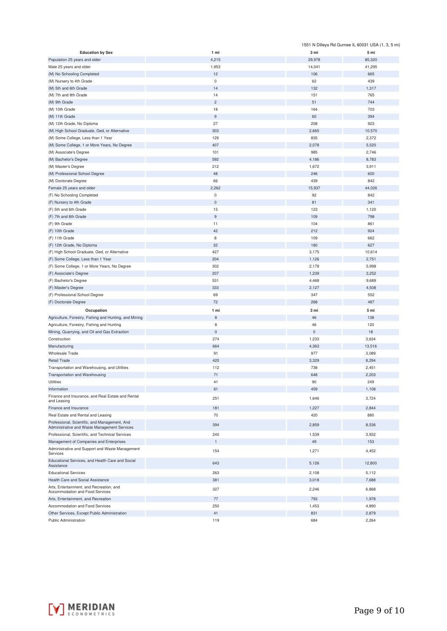|                                                                                               |                | 1551 N Dilleys Rd Gurnee IL 60031 USA (1, 3, 5 mi) |        |
|-----------------------------------------------------------------------------------------------|----------------|----------------------------------------------------|--------|
| <b>Education by Sex</b>                                                                       | 1 mi           | 3 mi                                               | 5 mi   |
| Population 25 years and older                                                                 | 4,215          | 29,978                                             | 85,320 |
| Male 25 years and older                                                                       | 1,953          | 14,041                                             | 41,295 |
| (M) No Schooling Completed                                                                    | 12             | 106                                                | 665    |
| (M) Nursery to 4th Grade                                                                      | $\mathbf 0$    | 62                                                 | 439    |
| (M) 5th and 6th Grade                                                                         | 14             | 132                                                | 1,317  |
| (M) 7th and 8th Grade                                                                         | 14             | 151                                                | 765    |
| (M) 9th Grade                                                                                 | $\overline{c}$ | 51                                                 | 744    |
| (M) 10th Grade                                                                                | 18             | 164                                                | 703    |
| (M) 11th Grade                                                                                | $\overline{9}$ | 60                                                 | 394    |
| (M) 12th Grade, No Diploma                                                                    | 27             | 208                                                | 923    |
| (M) High School Graduate, Ged, or Alternative                                                 | 303            | 2,665                                              | 10,570 |
| (M) Some College, Less than 1 Year                                                            | 129            | 835                                                | 2,372  |
| (M) Some College, 1 or More Years, No Degree                                                  | 407            | 2,078                                              |        |
|                                                                                               |                |                                                    | 5,520  |
| (M) Associate's Degree                                                                        | 101            | 985                                                | 2,746  |
| (M) Bachelor's Degree                                                                         | 592            | 4,186                                              | 8,783  |
| (M) Master's Degree                                                                           | 212            | 1,672                                              | 3,911  |
| (M) Professional School Degree                                                                | 48             | 246                                                | 600    |
| (M) Doctorate Degree                                                                          | 66             | 439                                                | 842    |
| Female 25 years and older                                                                     | 2,262          | 15,937                                             | 44,026 |
| (F) No Schooling Completed                                                                    | $\pmb{0}$      | 92                                                 | 842    |
| (F) Nursery to 4th Grade                                                                      | $\bf 0$        | 81                                                 | 341    |
| (F) 5th and 6th Grade                                                                         | 15             | 123                                                | 1,120  |
| (F) 7th and 8th Grade                                                                         | $\overline{9}$ | 109                                                | 798    |
| (F) 9th Grade                                                                                 | 11             | 104                                                | 861    |
| (F) 10th Grade                                                                                | 42             | 212                                                | 924    |
| (F) 11th Grade                                                                                | 8              | 109                                                | 662    |
| (F) 12th Grade, No Diploma                                                                    | 32             | 180                                                | 627    |
| (F) High School Graduate, Ged, or Alternative                                                 | 427            | 3,175                                              | 10,614 |
| (F) Some College, Less than 1 Year                                                            | 204            | 1,126                                              | 2,751  |
| (F) Some College, 1 or More Years, No Degree                                                  | 302            | 2,178                                              | 5,998  |
| (F) Associate's Degree                                                                        | 207            | 1,239                                              | 3,252  |
| (F) Bachelor's Degree                                                                         | 531            | 4,468                                              | 9,689  |
| (F) Master's Degree                                                                           | 333            | 2,127                                              | 4,508  |
| (F) Professional School Degree                                                                | 69             | 347                                                | 552    |
| (F) Doctorate Degree                                                                          | 72             | 268                                                | 487    |
|                                                                                               |                |                                                    |        |
| Occupation                                                                                    | 1 mi           | 3 mi                                               | 5 mi   |
| Agriculture, Forestry, Fishing and Hunting, and Mining                                        | $\,$ 8 $\,$    | 46                                                 | 138    |
| Agriculture, Forestry, Fishing and Hunting                                                    | 8              | 46                                                 | 120    |
| Mining, Quarrying, and Oil and Gas Extraction                                                 | $\mathsf 0$    | $\mathsf 0$                                        | 18     |
| Construction                                                                                  | 274            | 1,233                                              | 3,634  |
| Manufacturing                                                                                 | 664            | 4,363                                              | 13,516 |
| Wholesale Trade                                                                               | 91             | 977                                                | 3,089  |
| <b>Retail Trade</b>                                                                           | 420            | 3,329                                              | 8,294  |
| Transportation and Warehousing, and Utilities                                                 | 112            | 738                                                | 2,451  |
| Transportation and Warehousing                                                                | 71             | 648                                                | 2,203  |
| Utilities                                                                                     | 41             | 90                                                 | 249    |
| Information                                                                                   | 61             | 459                                                | 1,108  |
| Finance and Insurance, and Real Estate and Rental<br>and Leasing                              | 251            | 1,646                                              | 3,724  |
| Finance and Insurance                                                                         | 181            | 1,227                                              | 2,844  |
| Real Estate and Rental and Leasing                                                            | 70             | 420                                                | 880    |
| Professional, Scientific, and Management, And<br>Administrative and Waste Management Services | 394            | 2,859                                              | 8,536  |
| Professional, Scientific, and Technical Services                                              | 240            | 1,539                                              | 3,932  |
| Management of Companies and Enterprises                                                       | $\mathbf{1}$   | 49                                                 | 153    |
| Administrative and Support and Waste Management                                               |                |                                                    |        |
| Services<br>Educational Services, and Health Care and Social                                  | 154            | 1,271                                              | 4,452  |
| Assistance                                                                                    | 643            | 5,126                                              | 12,800 |
| <b>Educational Services</b>                                                                   | 263            | 2,108                                              | 5,112  |
| Health Care and Social Assistance                                                             | 381            | 3,018                                              | 7,688  |
| Arts, Entertainment, and Recreation, and                                                      |                |                                                    |        |
| Accommodation and Food Services                                                               | 327            | 2,246                                              | 6,868  |
| Arts, Entertainment, and Recreation                                                           | 77             | 793                                                | 1,978  |
| Accommodation and Food Services                                                               | 250            | 1,453                                              | 4,890  |
| Other Services, Except Public Administration                                                  | 41             | 831                                                | 2,879  |
| Public Administration                                                                         | 119            | 684                                                | 2,264  |